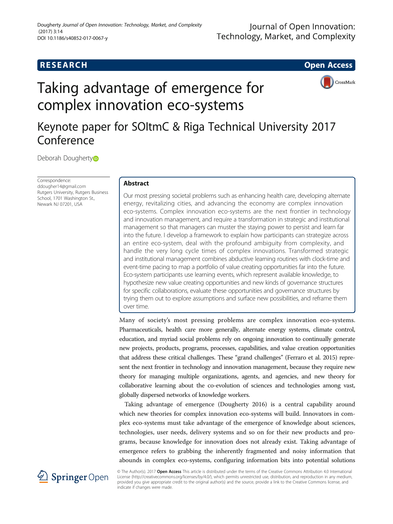# **RESEARCH RESEARCH CONSUMING ACCESS**



# Taking advantage of emergence for complex innovation eco-systems

Keynote paper for SOItmC & Riga Technical University 2017 Conference

Deborah Dougherty<sup>®</sup>

Correspondence [ddougher14@gmail.com](mailto:ddougher14@gmail.com) Rutgers University, Rutgers Business School, 1701 Washington St., Newark NJ 07201, USA

# Abstract

Our most pressing societal problems such as enhancing health care, developing alternate energy, revitalizing cities, and advancing the economy are complex innovation eco-systems. Complex innovation eco-systems are the next frontier in technology and innovation management, and require a transformation in strategic and institutional management so that managers can muster the staying power to persist and learn far into the future. I develop a framework to explain how participants can strategize across an entire eco-system, deal with the profound ambiguity from complexity, and handle the very long cycle times of complex innovations. Transformed strategic and institutional management combines abductive learning routines with clock-time and event-time pacing to map a portfolio of value creating opportunities far into the future. Eco-system participants use learning events, which represent available knowledge, to hypothesize new value creating opportunities and new kinds of governance structures for specific collaborations, evaluate these opportunities and governance structures by trying them out to explore assumptions and surface new possibilities, and reframe them over time.

Many of society's most pressing problems are complex innovation eco-systems. Pharmaceuticals, health care more generally, alternate energy systems, climate control, education, and myriad social problems rely on ongoing innovation to continually generate new projects, products, programs, processes, capabilities, and value creation opportunities that address these critical challenges. These "grand challenges" (Ferraro et al. [2015](#page-17-0)) represent the next frontier in technology and innovation management, because they require new theory for managing multiple organizations, agents, and agencies, and new theory for collaborative learning about the co-evolution of sciences and technologies among vast, globally dispersed networks of knowledge workers.

Taking advantage of emergence (Dougherty [2016\)](#page-17-0) is a central capability around which new theories for complex innovation eco-systems will build. Innovators in complex eco-systems must take advantage of the emergence of knowledge about sciences, technologies, user needs, delivery systems and so on for their new products and programs, because knowledge for innovation does not already exist. Taking advantage of emergence refers to grabbing the inherently fragmented and noisy information that abounds in complex eco-systems, configuring information bits into potential solutions



© The Author(s). 2017 Open Access This article is distributed under the terms of the Creative Commons Attribution 4.0 International License [\(http://creativecommons.org/licenses/by/4.0/](http://creativecommons.org/licenses/by/4.0/)), which permits unrestricted use, distribution, and reproduction in any medium, provided you give appropriate credit to the original author(s) and the source, provide a link to the Creative Commons license, and indicate if changes were made.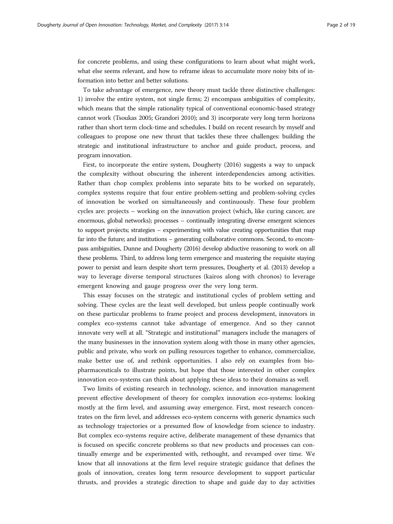for concrete problems, and using these configurations to learn about what might work, what else seems relevant, and how to reframe ideas to accumulate more noisy bits of information into better and better solutions.

To take advantage of emergence, new theory must tackle three distinctive challenges: 1) involve the entire system, not single firms; 2) encompass ambiguities of complexity, which means that the simple rationality typical of conventional economic-based strategy cannot work (Tsoukas [2005;](#page-18-0) Grandori [2010\)](#page-17-0); and 3) incorporate very long term horizons rather than short term clock-time and schedules. I build on recent research by myself and colleagues to propose one new thrust that tackles these three challenges: building the strategic and institutional infrastructure to anchor and guide product, process, and program innovation.

First, to incorporate the entire system, Dougherty ([2016](#page-17-0)) suggests a way to unpack the complexity without obscuring the inherent interdependencies among activities. Rather than chop complex problems into separate bits to be worked on separately, complex systems require that four entire problem-setting and problem-solving cycles of innovation be worked on simultaneously and continuously. These four problem cycles are: projects – working on the innovation project (which, like curing cancer, are enormous, global networks); processes – continually integrating diverse emergent sciences to support projects; strategies – experimenting with value creating opportunities that map far into the future; and institutions – generating collaborative commons. Second, to encompass ambiguities, Dunne and Dougherty [\(2016\)](#page-17-0) develop abductive reasoning to work on all these problems. Third, to address long term emergence and mustering the requisite staying power to persist and learn despite short term pressures, Dougherty et al. [\(2013](#page-17-0)) develop a way to leverage diverse temporal structures (kairos along with chronos) to leverage emergent knowing and gauge progress over the very long term.

This essay focuses on the strategic and institutional cycles of problem setting and solving. These cycles are the least well developed, but unless people continually work on these particular problems to frame project and process development, innovators in complex eco-systems cannot take advantage of emergence. And so they cannot innovate very well at all. "Strategic and institutional" managers include the managers of the many businesses in the innovation system along with those in many other agencies, public and private, who work on pulling resources together to enhance, commercialize, make better use of, and rethink opportunities. I also rely on examples from biopharmaceuticals to illustrate points, but hope that those interested in other complex innovation eco-systems can think about applying these ideas to their domains as well.

Two limits of existing research in technology, science, and innovation management prevent effective development of theory for complex innovation eco-systems: looking mostly at the firm level, and assuming away emergence. First, most research concentrates on the firm level, and addresses eco-system concerns with generic dynamics such as technology trajectories or a presumed flow of knowledge from science to industry. But complex eco-systems require active, deliberate management of these dynamics that is focused on specific concrete problems so that new products and processes can continually emerge and be experimented with, rethought, and revamped over time. We know that all innovations at the firm level require strategic guidance that defines the goals of innovation, creates long term resource development to support particular thrusts, and provides a strategic direction to shape and guide day to day activities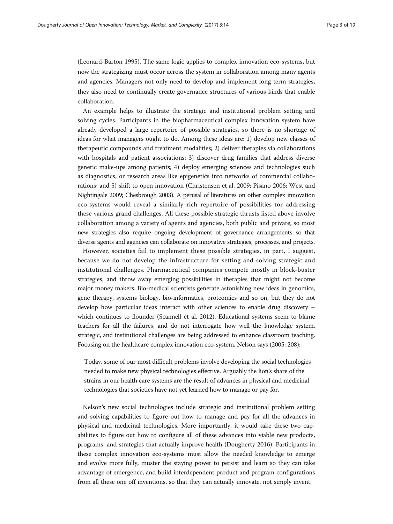(Leonard-Barton [1995\)](#page-17-0). The same logic applies to complex innovation eco-systems, but now the strategizing must occur across the system in collaboration among many agents and agencies. Managers not only need to develop and implement long term strategies, they also need to continually create governance structures of various kinds that enable collaboration.

An example helps to illustrate the strategic and institutional problem setting and solving cycles. Participants in the biopharmaceutical complex innovation system have already developed a large repertoire of possible strategies, so there is no shortage of ideas for what managers ought to do. Among these ideas are: 1) develop new classes of therapeutic compounds and treatment modalities; 2) deliver therapies via collaborations with hospitals and patient associations; 3) discover drug families that address diverse genetic make-ups among patients; 4) deploy emerging sciences and technologies such as diagnostics, or research areas like epigenetics into networks of commercial collaborations; and 5) shift to open innovation (Christensen et al. [2009;](#page-17-0) Pisano [2006](#page-18-0); West and Nightingale [2009;](#page-18-0) Chesbrough [2003\)](#page-17-0). A perusal of literatures on other complex innovation eco-systems would reveal a similarly rich repertoire of possibilities for addressing these various grand challenges. All these possible strategic thrusts listed above involve collaboration among a variety of agents and agencies, both public and private, so most new strategies also require ongoing development of governance arrangements so that diverse agents and agencies can collaborate on innovative strategies, processes, and projects.

However, societies fail to implement these possible strategies, in part, I suggest, because we do not develop the infrastructure for setting and solving strategic and institutional challenges. Pharmaceutical companies compete mostly in block-buster strategies, and throw away emerging possibilities in therapies that might not become major money makers. Bio-medical scientists generate astonishing new ideas in genomics, gene therapy, systems biology, bio-informatics, proteomics and so on, but they do not develop how particular ideas interact with other sciences to enable drug discovery – which continues to flounder (Scannell et al. [2012](#page-18-0)). Educational systems seem to blame teachers for all the failures, and do not interrogate how well the knowledge system, strategic, and institutional challenges are being addressed to enhance classroom teaching. Focusing on the healthcare complex innovation eco-system, Nelson says ([2005](#page-18-0): 208):

Today, some of our most difficult problems involve developing the social technologies needed to make new physical technologies effective. Arguably the lion's share of the strains in our health care systems are the result of advances in physical and medicinal technologies that societies have not yet learned how to manage or pay for.

Nelson's new social technologies include strategic and institutional problem setting and solving capabilities to figure out how to manage and pay for all the advances in physical and medicinal technologies. More importantly, it would take these two capabilities to figure out how to configure all of these advances into viable new products, programs, and strategies that actually improve health (Dougherty [2016\)](#page-17-0). Participants in these complex innovation eco-systems must allow the needed knowledge to emerge and evolve more fully, muster the staying power to persist and learn so they can take advantage of emergence, and build interdependent product and program configurations from all these one off inventions, so that they can actually innovate, not simply invent.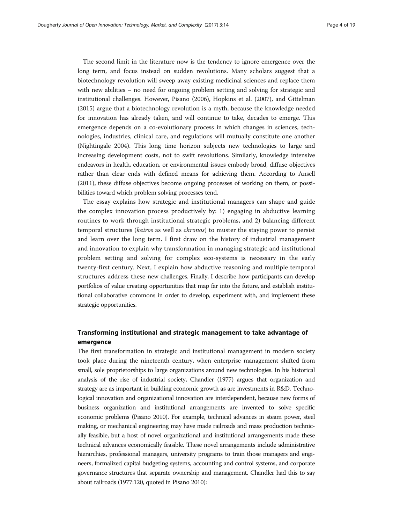The second limit in the literature now is the tendency to ignore emergence over the long term, and focus instead on sudden revolutions. Many scholars suggest that a biotechnology revolution will sweep away existing medicinal sciences and replace them with new abilities – no need for ongoing problem setting and solving for strategic and institutional challenges. However, Pisano [\(2006\)](#page-18-0), Hopkins et al. ([2007\)](#page-17-0), and Gittelman ([2015](#page-17-0)) argue that a biotechnology revolution is a myth, because the knowledge needed for innovation has already taken, and will continue to take, decades to emerge. This emergence depends on a co-evolutionary process in which changes in sciences, technologies, industries, clinical care, and regulations will mutually constitute one another (Nightingale [2004\)](#page-18-0). This long time horizon subjects new technologies to large and increasing development costs, not to swift revolutions. Similarly, knowledge intensive endeavors in health, education, or environmental issues embody broad, diffuse objectives rather than clear ends with defined means for achieving them. According to Ansell ([2011\)](#page-17-0), these diffuse objectives become ongoing processes of working on them, or possibilities toward which problem solving processes tend.

The essay explains how strategic and institutional managers can shape and guide the complex innovation process productively by: 1) engaging in abductive learning routines to work through institutional strategic problems, and 2) balancing different temporal structures (kairos as well as chronos) to muster the staying power to persist and learn over the long term. I first draw on the history of industrial management and innovation to explain why transformation in managing strategic and institutional problem setting and solving for complex eco-systems is necessary in the early twenty-first century. Next, I explain how abductive reasoning and multiple temporal structures address these new challenges. Finally, I describe how participants can develop portfolios of value creating opportunities that map far into the future, and establish institutional collaborative commons in order to develop, experiment with, and implement these strategic opportunities.

## Transforming institutional and strategic management to take advantage of emergence

The first transformation in strategic and institutional management in modern society took place during the nineteenth century, when enterprise management shifted from small, sole proprietorships to large organizations around new technologies. In his historical analysis of the rise of industrial society, Chandler [\(1977](#page-17-0)) argues that organization and strategy are as important in building economic growth as are investments in R&D. Technological innovation and organizational innovation are interdependent, because new forms of business organization and institutional arrangements are invented to solve specific economic problems (Pisano [2010](#page-18-0)). For example, technical advances in steam power, steel making, or mechanical engineering may have made railroads and mass production technically feasible, but a host of novel organizational and institutional arrangements made these technical advances economically feasible. These novel arrangements include administrative hierarchies, professional managers, university programs to train those managers and engineers, formalized capital budgeting systems, accounting and control systems, and corporate governance structures that separate ownership and management. Chandler had this to say about railroads (1977:120, quoted in Pisano [2010\)](#page-18-0):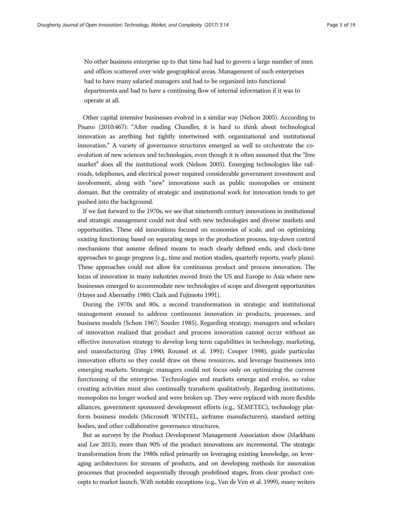No other business enterprise up to that time had had to govern a large number of men and offices scattered over wide geographical areas. Management of such enterprises had to have many salaried managers and had to be organized into functional departments and had to have a continuing flow of internal information if it was to operate at all.

Other capital intensive businesses evolved in a similar way (Nelson [2005\)](#page-18-0). According to Pisano ([2010:](#page-18-0)467): "After reading Chandler, it is hard to think about technological innovation as anything but tightly intertwined with organizational and institutional innovation." A variety of governance structures emerged as well to orchestrate the coevolution of new sciences and technologies, even though it is often assumed that the "free market" does all the institutional work (Nelson [2005](#page-18-0)). Emerging technologies like railroads, telephones, and electrical power required considerable government investment and involvement, along with "new" innovations such as public monopolies or eminent domain. But the centrality of strategic and institutional work for innovation tends to get pushed into the background.

If we fast forward to the 1970s, we see that nineteenth century innovations in institutional and strategic management could not deal with new technologies and diverse markets and opportunities. These old innovations focused on economies of scale, and on optimizing existing functioning based on separating steps in the production process, top-down control mechanisms that assume defined means to reach clearly defined ends, and clock-time approaches to gauge progress (e.g., time and motion studies, quarterly reports, yearly plans). These approaches could not allow for continuous product and process innovation. The locus of innovation in many industries moved from the US and Europe to Asia where new businesses emerged to accommodate new technologies of scope and divergent opportunities (Hayes and Abernathy [1980;](#page-17-0) Clark and Fujimoto [1991](#page-17-0)).

During the 1970s and 80s, a second transformation in strategic and institutional management ensued to address continuous innovation in products, processes, and business models (Schon [1967](#page-18-0); Souder [1985](#page-18-0)). Regarding strategy, managers and scholars of innovation realized that product and process innovation cannot occur without an effective innovation strategy to develop long term capabilities in technology, marketing, and manufacturing (Day [1990](#page-17-0); Roussel et al. [1991;](#page-18-0) Cooper [1998](#page-17-0)), guide particular innovation efforts so they could draw on these resources, and leverage businesses into emerging markets. Strategic managers could not focus only on optimizing the current functioning of the enterprise. Technologies and markets emerge and evolve, so value creating activities must also continually transform qualitatively. Regarding institutions, monopolies no longer worked and were broken up. They were replaced with more flexible alliances, government sponsored development efforts (e.g., SEMETEC), technology platform business models (Microsoft WINTEL, airframe manufacturers), standard setting bodies, and other collaborative governance structures.

But as surveys by the Product Development Management Association show (Markham and Lee [2013](#page-18-0)), more than 90% of the product innovations are incremental. The strategic transformation from the 1980s relied primarily on leveraging existing knowledge, on leveraging architectures for streams of products, and on developing methods for innovation processes that proceeded sequentially through predefined stages, from clear product concepts to market launch. With notable exceptions (e.g., Van de Ven et al. [1999\)](#page-18-0), many writers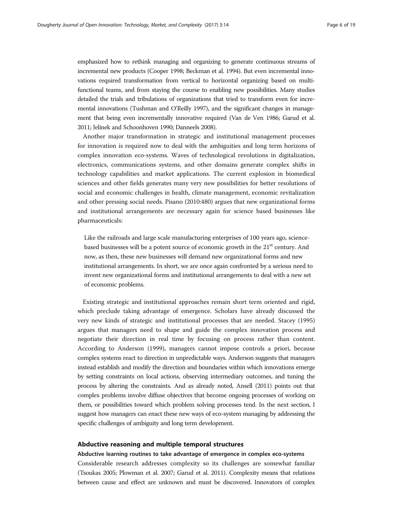emphasized how to rethink managing and organizing to generate continuous streams of incremental new products (Cooper [1998](#page-17-0); Beckman et al. [1994\)](#page-17-0). But even incremental innovations required transformation from vertical to horizontal organizing based on multifunctional teams, and from staying the course to enabling new possibilities. Many studies detailed the trials and tribulations of organizations that tried to transform even for incremental innovations (Tushman and O'Reilly [1997](#page-18-0)), and the significant changes in management that being even incrementally innovative required (Van de Ven [1986](#page-18-0); Garud et al. [2011;](#page-17-0) Jelinek and Schoonhoven [1990](#page-17-0); Danneels [2008\)](#page-17-0).

Another major transformation in strategic and institutional management processes for innovation is required now to deal with the ambiguities and long term horizons of complex innovation eco-systems. Waves of technological revolutions in digitalization, electronics, communications systems, and other domains generate complex shifts in technology capabilities and market applications. The current explosion in biomedical sciences and other fields generates many very new possibilities for better resolutions of social and economic challenges in health, climate management, economic revitalization and other pressing social needs. Pisano [\(2010:](#page-18-0)480) argues that new organizational forms and institutional arrangements are necessary again for science based businesses like pharmaceuticals:

Like the railroads and large scale manufacturing enterprises of 100 years ago, sciencebased businesses will be a potent source of economic growth in the 21<sup>st</sup> century. And now, as then, these new businesses will demand new organizational forms and new institutional arrangements. In short, we are once again confronted by a serious need to invent new organizational forms and institutional arrangements to deal with a new set of economic problems.

Existing strategic and institutional approaches remain short term oriented and rigid, which preclude taking advantage of emergence. Scholars have already discussed the very new kinds of strategic and institutional processes that are needed. Stacey ([1995](#page-18-0)) argues that managers need to shape and guide the complex innovation process and negotiate their direction in real time by focusing on process rather than content. According to Anderson ([1999](#page-17-0)), managers cannot impose controls a priori, because complex systems react to direction in unpredictable ways. Anderson suggests that managers instead establish and modify the direction and boundaries within which innovations emerge by setting constraints on local actions, observing intermediary outcomes, and tuning the process by altering the constraints. And as already noted, Ansell [\(2011\)](#page-17-0) points out that complex problems involve diffuse objectives that become ongoing processes of working on them, or possibilities toward which problem solving processes tend. In the next section, I suggest how managers can enact these new ways of eco-system managing by addressing the specific challenges of ambiguity and long term development.

#### Abductive reasoning and multiple temporal structures

#### Abductive learning routines to take advantage of emergence in complex eco-systems

Considerable research addresses complexity so its challenges are somewhat familiar (Tsoukas [2005](#page-18-0); Plowman et al. [2007;](#page-18-0) Garud et al. [2011\)](#page-17-0). Complexity means that relations between cause and effect are unknown and must be discovered. Innovators of complex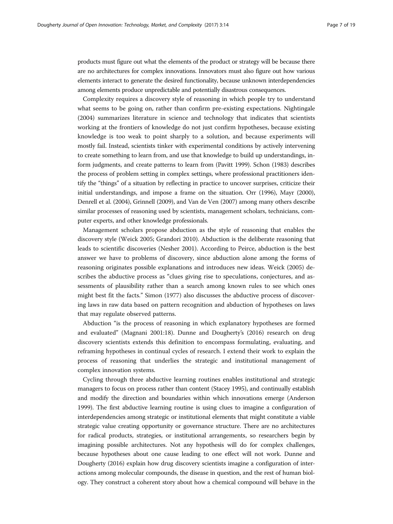products must figure out what the elements of the product or strategy will be because there are no architectures for complex innovations. Innovators must also figure out how various elements interact to generate the desired functionality, because unknown interdependencies among elements produce unpredictable and potentially disastrous consequences.

Complexity requires a discovery style of reasoning in which people try to understand what seems to be going on, rather than confirm pre-existing expectations. Nightingale ([2004](#page-18-0)) summarizes literature in science and technology that indicates that scientists working at the frontiers of knowledge do not just confirm hypotheses, because existing knowledge is too weak to point sharply to a solution, and because experiments will mostly fail. Instead, scientists tinker with experimental conditions by actively intervening to create something to learn from, and use that knowledge to build up understandings, inform judgments, and create patterns to learn from (Pavitt [1999](#page-18-0)). Schon [\(1983\)](#page-18-0) describes the process of problem setting in complex settings, where professional practitioners identify the "things" of a situation by reflecting in practice to uncover surprises, criticize their initial understandings, and impose a frame on the situation. Orr ([1996\)](#page-18-0), Mayr [\(2000](#page-18-0)), Denrell et al. ([2004\)](#page-17-0), Grinnell ([2009\)](#page-17-0), and Van de Ven [\(2007\)](#page-18-0) among many others describe similar processes of reasoning used by scientists, management scholars, technicians, computer experts, and other knowledge professionals.

Management scholars propose abduction as the style of reasoning that enables the discovery style (Weick [2005;](#page-18-0) Grandori [2010\)](#page-17-0). Abduction is the deliberate reasoning that leads to scientific discoveries (Nesher [2001](#page-18-0)). According to Peirce, abduction is the best answer we have to problems of discovery, since abduction alone among the forms of reasoning originates possible explanations and introduces new ideas. Weick [\(2005\)](#page-18-0) describes the abductive process as "clues giving rise to speculations, conjectures, and assessments of plausibility rather than a search among known rules to see which ones might best fit the facts." Simon [\(1977\)](#page-18-0) also discusses the abductive process of discovering laws in raw data based on pattern recognition and abduction of hypotheses on laws that may regulate observed patterns.

Abduction "is the process of reasoning in which explanatory hypotheses are formed and evaluated" (Magnani [2001](#page-18-0):18). Dunne and Dougherty's [\(2016](#page-17-0)) research on drug discovery scientists extends this definition to encompass formulating, evaluating, and reframing hypotheses in continual cycles of research. I extend their work to explain the process of reasoning that underlies the strategic and institutional management of complex innovation systems.

Cycling through three abductive learning routines enables institutional and strategic managers to focus on process rather than content (Stacey [1995\)](#page-18-0), and continually establish and modify the direction and boundaries within which innovations emerge (Anderson [1999\)](#page-17-0). The first abductive learning routine is using clues to imagine a configuration of interdependencies among strategic or institutional elements that might constitute a viable strategic value creating opportunity or governance structure. There are no architectures for radical products, strategies, or institutional arrangements, so researchers begin by imagining possible architectures. Not any hypothesis will do for complex challenges, because hypotheses about one cause leading to one effect will not work. Dunne and Dougherty [\(2016\)](#page-17-0) explain how drug discovery scientists imagine a configuration of interactions among molecular compounds, the disease in question, and the rest of human biology. They construct a coherent story about how a chemical compound will behave in the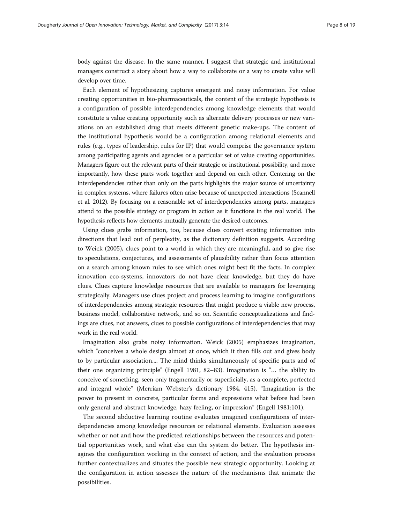body against the disease. In the same manner, I suggest that strategic and institutional managers construct a story about how a way to collaborate or a way to create value will develop over time.

Each element of hypothesizing captures emergent and noisy information. For value creating opportunities in bio-pharmaceuticals, the content of the strategic hypothesis is a configuration of possible interdependencies among knowledge elements that would constitute a value creating opportunity such as alternate delivery processes or new variations on an established drug that meets different genetic make-ups. The content of the institutional hypothesis would be a configuration among relational elements and rules (e.g., types of leadership, rules for IP) that would comprise the governance system among participating agents and agencies or a particular set of value creating opportunities. Managers figure out the relevant parts of their strategic or institutional possibility, and more importantly, how these parts work together and depend on each other. Centering on the interdependencies rather than only on the parts highlights the major source of uncertainty in complex systems, where failures often arise because of unexpected interactions (Scannell et al. [2012](#page-18-0)). By focusing on a reasonable set of interdependencies among parts, managers attend to the possible strategy or program in action as it functions in the real world. The hypothesis reflects how elements mutually generate the desired outcomes.

Using clues grabs information, too, because clues convert existing information into directions that lead out of perplexity, as the dictionary definition suggests. According to Weick [\(2005\)](#page-18-0), clues point to a world in which they are meaningful, and so give rise to speculations, conjectures, and assessments of plausibility rather than focus attention on a search among known rules to see which ones might best fit the facts. In complex innovation eco-systems, innovators do not have clear knowledge, but they do have clues. Clues capture knowledge resources that are available to managers for leveraging strategically. Managers use clues project and process learning to imagine configurations of interdependencies among strategic resources that might produce a viable new process, business model, collaborative network, and so on. Scientific conceptualizations and findings are clues, not answers, clues to possible configurations of interdependencies that may work in the real world.

Imagination also grabs noisy information. Weick ([2005](#page-18-0)) emphasizes imagination, which "conceives a whole design almost at once, which it then fills out and gives body to by particular association.... The mind thinks simultaneously of specific parts and of their one organizing principle" (Engell [1981](#page-17-0), 82–83). Imagination is "… the ability to conceive of something, seen only fragmentarily or superficially, as a complete, perfected and integral whole" (Merriam Webster's dictionary 1984, 415). "Imagination is the power to present in concrete, particular forms and expressions what before had been only general and abstract knowledge, hazy feeling, or impression" (Engell [1981:](#page-17-0)101).

The second abductive learning routine evaluates imagined configurations of interdependencies among knowledge resources or relational elements. Evaluation assesses whether or not and how the predicted relationships between the resources and potential opportunities work, and what else can the system do better. The hypothesis imagines the configuration working in the context of action, and the evaluation process further contextualizes and situates the possible new strategic opportunity. Looking at the configuration in action assesses the nature of the mechanisms that animate the possibilities.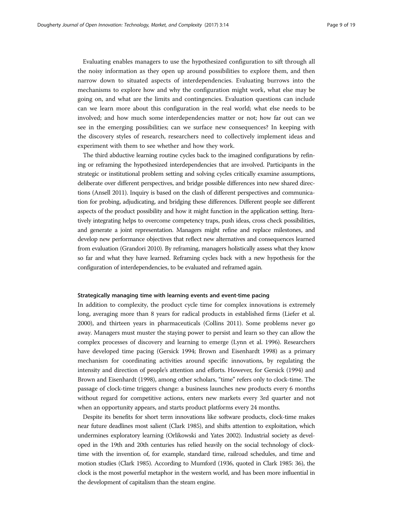Evaluating enables managers to use the hypothesized configuration to sift through all the noisy information as they open up around possibilities to explore them, and then narrow down to situated aspects of interdependencies. Evaluating burrows into the mechanisms to explore how and why the configuration might work, what else may be going on, and what are the limits and contingencies. Evaluation questions can include can we learn more about this configuration in the real world; what else needs to be involved; and how much some interdependencies matter or not; how far out can we see in the emerging possibilities; can we surface new consequences? In keeping with the discovery styles of research, researchers need to collectively implement ideas and experiment with them to see whether and how they work.

The third abductive learning routine cycles back to the imagined configurations by refining or reframing the hypothesized interdependencies that are involved. Participants in the strategic or institutional problem setting and solving cycles critically examine assumptions, deliberate over different perspectives, and bridge possible differences into new shared directions (Ansell [2011](#page-17-0)). Inquiry is based on the clash of different perspectives and communication for probing, adjudicating, and bridging these differences. Different people see different aspects of the product possibility and how it might function in the application setting. Iteratively integrating helps to overcome competency traps, push ideas, cross check possibilities, and generate a joint representation. Managers might refine and replace milestones, and develop new performance objectives that reflect new alternatives and consequences learned from evaluation (Grandori [2010](#page-17-0)). By reframing, managers holistically assess what they know so far and what they have learned. Reframing cycles back with a new hypothesis for the configuration of interdependencies, to be evaluated and reframed again.

#### Strategically managing time with learning events and event-time pacing

In addition to complexity, the product cycle time for complex innovations is extremely long, averaging more than 8 years for radical products in established firms (Liefer et al. [2000\)](#page-17-0), and thirteen years in pharmaceuticals (Collins [2011](#page-17-0)). Some problems never go away. Managers must muster the staying power to persist and learn so they can allow the complex processes of discovery and learning to emerge (Lynn et al. [1996](#page-17-0)). Researchers have developed time pacing (Gersick [1994;](#page-17-0) Brown and Eisenhardt [1998](#page-17-0)) as a primary mechanism for coordinating activities around specific innovations, by regulating the intensity and direction of people's attention and efforts. However, for Gersick [\(1994](#page-17-0)) and Brown and Eisenhardt ([1998\)](#page-17-0), among other scholars, "time" refers only to clock-time. The passage of clock-time triggers change: a business launches new products every 6 months without regard for competitive actions, enters new markets every 3rd quarter and not when an opportunity appears, and starts product platforms every 24 months.

Despite its benefits for short term innovations like software products, clock-time makes near future deadlines most salient (Clark [1985\)](#page-17-0), and shifts attention to exploitation, which undermines exploratory learning (Orlikowski and Yates [2002](#page-18-0)). Industrial society as developed in the 19th and 20th centuries has relied heavily on the social technology of clocktime with the invention of, for example, standard time, railroad schedules, and time and motion studies (Clark [1985\)](#page-17-0). According to Mumford [\(1936](#page-18-0), quoted in Clark [1985](#page-17-0): 36), the clock is the most powerful metaphor in the western world, and has been more influential in the development of capitalism than the steam engine.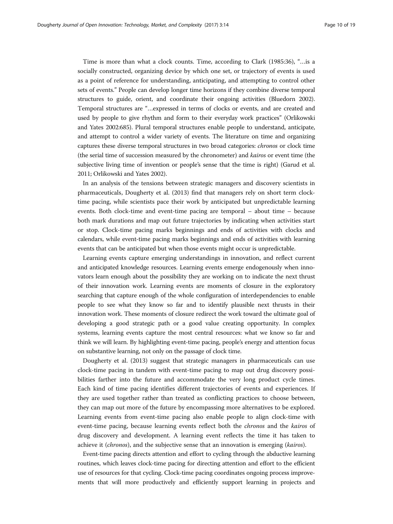Time is more than what a clock counts. Time, according to Clark ([1985](#page-17-0):36), "…is a socially constructed, organizing device by which one set, or trajectory of events is used as a point of reference for understanding, anticipating, and attempting to control other sets of events." People can develop longer time horizons if they combine diverse temporal structures to guide, orient, and coordinate their ongoing activities (Bluedorn [2002](#page-17-0)). Temporal structures are "…expressed in terms of clocks or events, and are created and used by people to give rhythm and form to their everyday work practices" (Orlikowski and Yates [2002:](#page-18-0)685). Plural temporal structures enable people to understand, anticipate, and attempt to control a wider variety of events. The literature on time and organizing captures these diverse temporal structures in two broad categories: chronos or clock time (the serial time of succession measured by the chronometer) and kairos or event time (the subjective living time of invention or people's sense that the time is right) (Garud et al. [2011;](#page-17-0) Orlikowski and Yates [2002\)](#page-18-0).

In an analysis of the tensions between strategic managers and discovery scientists in pharmaceuticals, Dougherty et al. ([2013](#page-17-0)) find that managers rely on short term clocktime pacing, while scientists pace their work by anticipated but unpredictable learning events. Both clock-time and event-time pacing are temporal – about time – because both mark durations and map out future trajectories by indicating when activities start or stop. Clock-time pacing marks beginnings and ends of activities with clocks and calendars, while event-time pacing marks beginnings and ends of activities with learning events that can be anticipated but when those events might occur is unpredictable.

Learning events capture emerging understandings in innovation, and reflect current and anticipated knowledge resources. Learning events emerge endogenously when innovators learn enough about the possibility they are working on to indicate the next thrust of their innovation work. Learning events are moments of closure in the exploratory searching that capture enough of the whole configuration of interdependencies to enable people to see what they know so far and to identify plausible next thrusts in their innovation work. These moments of closure redirect the work toward the ultimate goal of developing a good strategic path or a good value creating opportunity. In complex systems, learning events capture the most central resources: what we know so far and think we will learn. By highlighting event-time pacing, people's energy and attention focus on substantive learning, not only on the passage of clock time.

Dougherty et al. [\(2013\)](#page-17-0) suggest that strategic managers in pharmaceuticals can use clock-time pacing in tandem with event-time pacing to map out drug discovery possibilities farther into the future and accommodate the very long product cycle times. Each kind of time pacing identifies different trajectories of events and experiences. If they are used together rather than treated as conflicting practices to choose between, they can map out more of the future by encompassing more alternatives to be explored. Learning events from event-time pacing also enable people to align clock-time with event-time pacing, because learning events reflect both the chronos and the kairos of drug discovery and development. A learning event reflects the time it has taken to achieve it (chronos), and the subjective sense that an innovation is emerging (kairos).

Event-time pacing directs attention and effort to cycling through the abductive learning routines, which leaves clock-time pacing for directing attention and effort to the efficient use of resources for that cycling. Clock-time pacing coordinates ongoing process improvements that will more productively and efficiently support learning in projects and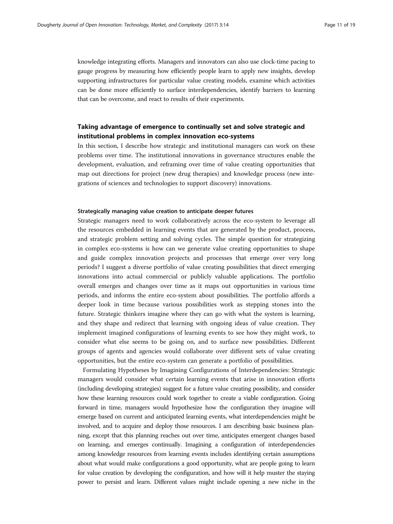knowledge integrating efforts. Managers and innovators can also use clock-time pacing to gauge progress by measuring how efficiently people learn to apply new insights, develop supporting infrastructures for particular value creating models, examine which activities can be done more efficiently to surface interdependencies, identify barriers to learning that can be overcome, and react to results of their experiments.

# Taking advantage of emergence to continually set and solve strategic and institutional problems in complex innovation eco-systems

In this section, I describe how strategic and institutional managers can work on these problems over time. The institutional innovations in governance structures enable the development, evaluation, and reframing over time of value creating opportunities that map out directions for project (new drug therapies) and knowledge process (new integrations of sciences and technologies to support discovery) innovations.

#### Strategically managing value creation to anticipate deeper futures

Strategic managers need to work collaboratively across the eco-system to leverage all the resources embedded in learning events that are generated by the product, process, and strategic problem setting and solving cycles. The simple question for strategizing in complex eco-systems is how can we generate value creating opportunities to shape and guide complex innovation projects and processes that emerge over very long periods? I suggest a diverse portfolio of value creating possibilities that direct emerging innovations into actual commercial or publicly valuable applications. The portfolio overall emerges and changes over time as it maps out opportunities in various time periods, and informs the entire eco-system about possibilities. The portfolio affords a deeper look in time because various possibilities work as stepping stones into the future. Strategic thinkers imagine where they can go with what the system is learning, and they shape and redirect that learning with ongoing ideas of value creation. They implement imagined configurations of learning events to see how they might work, to consider what else seems to be going on, and to surface new possibilities. Different groups of agents and agencies would collaborate over different sets of value creating opportunities, but the entire eco-system can generate a portfolio of possibilities.

Formulating Hypotheses by Imagining Configurations of Interdependencies: Strategic managers would consider what certain learning events that arise in innovation efforts (including developing strategies) suggest for a future value creating possibility, and consider how these learning resources could work together to create a viable configuration. Going forward in time, managers would hypothesize how the configuration they imagine will emerge based on current and anticipated learning events, what interdependencies might be involved, and to acquire and deploy those resources. I am describing basic business planning, except that this planning reaches out over time, anticipates emergent changes based on learning, and emerges continually. Imagining a configuration of interdependencies among knowledge resources from learning events includes identifying certain assumptions about what would make configurations a good opportunity, what are people going to learn for value creation by developing the configuration, and how will it help muster the staying power to persist and learn. Different values might include opening a new niche in the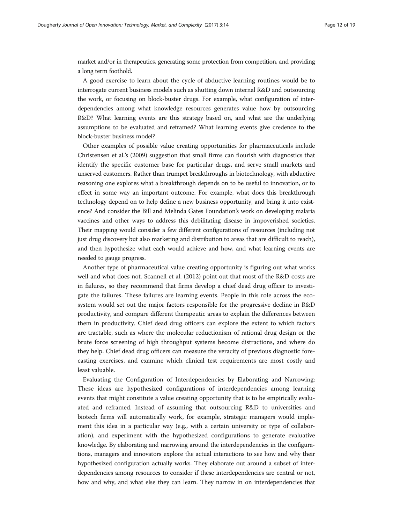market and/or in therapeutics, generating some protection from competition, and providing a long term foothold.

A good exercise to learn about the cycle of abductive learning routines would be to interrogate current business models such as shutting down internal R&D and outsourcing the work, or focusing on block-buster drugs. For example, what configuration of interdependencies among what knowledge resources generates value how by outsourcing R&D? What learning events are this strategy based on, and what are the underlying assumptions to be evaluated and reframed? What learning events give credence to the block-buster business model?

Other examples of possible value creating opportunities for pharmaceuticals include Christensen et al.'s ([2009](#page-17-0)) suggestion that small firms can flourish with diagnostics that identify the specific customer base for particular drugs, and serve small markets and unserved customers. Rather than trumpet breakthroughs in biotechnology, with abductive reasoning one explores what a breakthrough depends on to be useful to innovation, or to effect in some way an important outcome. For example, what does this breakthrough technology depend on to help define a new business opportunity, and bring it into existence? And consider the Bill and Melinda Gates Foundation's work on developing malaria vaccines and other ways to address this debilitating disease in impoverished societies. Their mapping would consider a few different configurations of resources (including not just drug discovery but also marketing and distribution to areas that are difficult to reach), and then hypothesize what each would achieve and how, and what learning events are needed to gauge progress.

Another type of pharmaceutical value creating opportunity is figuring out what works well and what does not. Scannell et al. ([2012](#page-18-0)) point out that most of the R&D costs are in failures, so they recommend that firms develop a chief dead drug officer to investigate the failures. These failures are learning events. People in this role across the ecosystem would set out the major factors responsible for the progressive decline in R&D productivity, and compare different therapeutic areas to explain the differences between them in productivity. Chief dead drug officers can explore the extent to which factors are tractable, such as where the molecular reductionism of rational drug design or the brute force screening of high throughput systems become distractions, and where do they help. Chief dead drug officers can measure the veracity of previous diagnostic forecasting exercises, and examine which clinical test requirements are most costly and least valuable.

Evaluating the Configuration of Interdependencies by Elaborating and Narrowing: These ideas are hypothesized configurations of interdependencies among learning events that might constitute a value creating opportunity that is to be empirically evaluated and reframed. Instead of assuming that outsourcing R&D to universities and biotech firms will automatically work, for example, strategic managers would implement this idea in a particular way (e.g., with a certain university or type of collaboration), and experiment with the hypothesized configurations to generate evaluative knowledge. By elaborating and narrowing around the interdependencies in the configurations, managers and innovators explore the actual interactions to see how and why their hypothesized configuration actually works. They elaborate out around a subset of interdependencies among resources to consider if these interdependencies are central or not, how and why, and what else they can learn. They narrow in on interdependencies that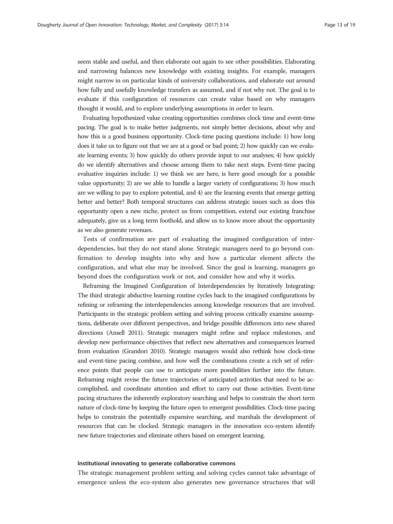seem stable and useful, and then elaborate out again to see other possibilities. Elaborating and narrowing balances new knowledge with existing insights. For example, managers might narrow in on particular kinds of university collaborations, and elaborate out around how fully and usefully knowledge transfers as assumed, and if not why not. The goal is to evaluate if this configuration of resources can create value based on why managers thought it would, and to explore underlying assumptions in order to learn.

Evaluating hypothesized value creating opportunities combines clock time and event-time pacing. The goal is to make better judgments, not simply better decisions, about why and how this is a good business opportunity. Clock-time pacing questions include: 1) how long does it take us to figure out that we are at a good or bad point; 2) how quickly can we evaluate learning events; 3) how quickly do others provide input to our analyses; 4) how quickly do we identify alternatives and choose among them to take next steps. Event-time pacing evaluative inquiries include: 1) we think we are here, is here good enough for a possible value opportunity; 2) are we able to handle a larger variety of configurations; 3) how much are we willing to pay to explore potential, and 4) are the learning events that emerge getting better and better? Both temporal structures can address strategic issues such as does this opportunity open a new niche, protect us from competition, extend our existing franchise adequately, give us a long term foothold, and allow us to know more about the opportunity as we also generate revenues.

Tests of confirmation are part of evaluating the imagined configuration of interdependencies, but they do not stand alone. Strategic managers need to go beyond confirmation to develop insights into why and how a particular element affects the configuration, and what else may be involved. Since the goal is learning, managers go beyond does the configuration work or not, and consider how and why it works.

Reframing the Imagined Configuration of Interdependencies by Iteratively Integrating: The third strategic abductive learning routine cycles back to the imagined configurations by refining or reframing the interdependencies among knowledge resources that are involved. Participants in the strategic problem setting and solving process critically examine assumptions, deliberate over different perspectives, and bridge possible differences into new shared directions (Ansell [2011](#page-17-0)). Strategic managers might refine and replace milestones, and develop new performance objectives that reflect new alternatives and consequences learned from evaluation (Grandori [2010\)](#page-17-0). Strategic managers would also rethink how clock-time and event-time pacing combine, and how well the combinations create a rich set of reference points that people can use to anticipate more possibilities further into the future. Reframing might revise the future trajectories of anticipated activities that need to be accomplished, and coordinate attention and effort to carry out those activities. Event-time pacing structures the inherently exploratory searching and helps to constrain the short term nature of clock-time by keeping the future open to emergent possibilities. Clock-time pacing helps to constrain the potentially expansive searching, and marshals the development of resources that can be clocked. Strategic managers in the innovation eco-system identify new future trajectories and eliminate others based on emergent learning.

#### Institutional innovating to generate collaborative commons

The strategic management problem setting and solving cycles cannot take advantage of emergence unless the eco-system also generates new governance structures that will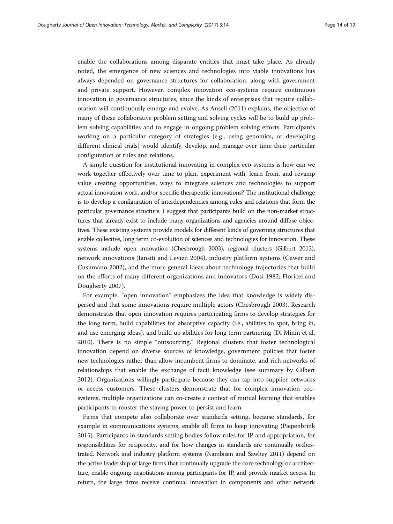enable the collaborations among disparate entities that must take place. As already noted, the emergence of new sciences and technologies into viable innovations has always depended on governance structures for collaboration, along with government and private support. However, complex innovation eco-systems require continuous innovation in governance structures, since the kinds of enterprises that require collaboration will continuously emerge and evolve. As Ansell [\(2011\)](#page-17-0) explains, the objective of many of these collaborative problem setting and solving cycles will be to build up problem solving capabilities and to engage in ongoing problem solving efforts. Participants working on a particular category of strategies (e.g., using genomics, or developing different clinical trials) would identify, develop, and manage over time their particular configuration of rules and relations.

A simple question for institutional innovating in complex eco-systems is how can we work together effectively over time to plan, experiment with, learn from, and revamp value creating opportunities, ways to integrate sciences and technologies to support actual innovation work, and/or specific therapeutic innovations? The institutional challenge is to develop a configuration of interdependencies among rules and relations that form the particular governance structure. I suggest that participants build on the non-market structures that already exist to include many organizations and agencies around diffuse objectives. These existing systems provide models for different kinds of governing structures that enable collective, long term co-evolution of sciences and technologies for innovation. These systems include open innovation (Chesbrough [2003\)](#page-17-0), regional clusters (Gilbert [2012](#page-17-0)), network innovations (Iansiti and Levien [2004](#page-17-0)), industry platform systems (Gawer and Cusumano [2002\)](#page-17-0), and the more general ideas about technology trajectories that build on the efforts of many different organizations and innovators (Dosi [1982;](#page-17-0) Floricel and Dougherty [2007\)](#page-17-0).

For example, "open innovation" emphasizes the idea that knowledge is widely dispersed and that some innovations require multiple actors (Chesbrough [2003\)](#page-17-0). Research demonstrates that open innovation requires participating firms to develop strategies for the long term, build capabilities for absorptive capacity (i.e., abilities to spot, bring in, and use emerging ideas), and build up abilities for long term partnering (Di Minin et al. [2010](#page-17-0)). There is no simple "outsourcing." Regional clusters that foster technological innovation depend on diverse sources of knowledge, government policies that foster new technologies rather than allow incumbent firms to dominate, and rich networks of relationships that enable the exchange of tacit knowledge (see summary by Gilbert [2012](#page-17-0)). Organizations willingly participate because they can tap into supplier networks or access customers. These clusters demonstrate that for complex innovation ecosystems, multiple organizations can co-create a context of mutual learning that enables participants to muster the staying power to persist and learn.

Firms that compete also collaborate over standards setting, because standards, for example in communications systems, enable all firms to keep innovating (Piepenbrink [2015](#page-18-0)). Participants in standards setting bodies follow rules for IP and appropriation, for responsibilities for reciprocity, and for how changes in standards are continually orchestrated. Network and industry platform systems (Nambisan and Sawhey [2011\)](#page-18-0) depend on the active leadership of large firms that continually upgrade the core technology or architecture, enable ongoing negotiations among participants for IP, and provide market access. In return, the large firms receive continual innovation in components and other network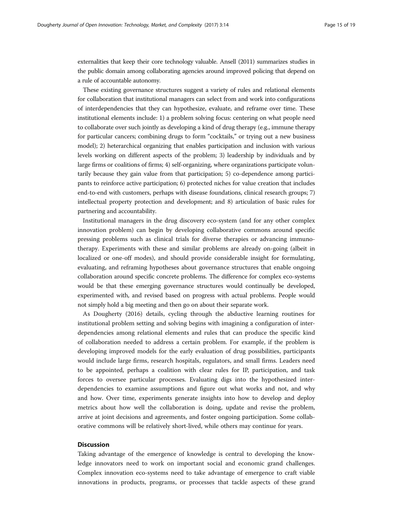externalities that keep their core technology valuable. Ansell [\(2011](#page-17-0)) summarizes studies in the public domain among collaborating agencies around improved policing that depend on a rule of accountable autonomy.

These existing governance structures suggest a variety of rules and relational elements for collaboration that institutional managers can select from and work into configurations of interdependencies that they can hypothesize, evaluate, and reframe over time. These institutional elements include: 1) a problem solving focus: centering on what people need to collaborate over such jointly as developing a kind of drug therapy (e.g., immune therapy for particular cancers; combining drugs to form "cocktails," or trying out a new business model); 2) heterarchical organizing that enables participation and inclusion with various levels working on different aspects of the problem; 3) leadership by individuals and by large firms or coalitions of firms; 4) self-organizing, where organizations participate voluntarily because they gain value from that participation; 5) co-dependence among participants to reinforce active participation; 6) protected niches for value creation that includes end-to-end with customers, perhaps with disease foundations, clinical research groups; 7) intellectual property protection and development; and 8) articulation of basic rules for partnering and accountability.

Institutional managers in the drug discovery eco-system (and for any other complex innovation problem) can begin by developing collaborative commons around specific pressing problems such as clinical trials for diverse therapies or advancing immunotherapy. Experiments with these and similar problems are already on-going (albeit in localized or one-off modes), and should provide considerable insight for formulating, evaluating, and reframing hypotheses about governance structures that enable ongoing collaboration around specific concrete problems. The difference for complex eco-systems would be that these emerging governance structures would continually be developed, experimented with, and revised based on progress with actual problems. People would not simply hold a big meeting and then go on about their separate work.

As Dougherty [\(2016\)](#page-17-0) details, cycling through the abductive learning routines for institutional problem setting and solving begins with imagining a configuration of interdependencies among relational elements and rules that can produce the specific kind of collaboration needed to address a certain problem. For example, if the problem is developing improved models for the early evaluation of drug possibilities, participants would include large firms, research hospitals, regulators, and small firms. Leaders need to be appointed, perhaps a coalition with clear rules for IP, participation, and task forces to oversee particular processes. Evaluating digs into the hypothesized interdependencies to examine assumptions and figure out what works and not, and why and how. Over time, experiments generate insights into how to develop and deploy metrics about how well the collaboration is doing, update and revise the problem, arrive at joint decisions and agreements, and foster ongoing participation. Some collaborative commons will be relatively short-lived, while others may continue for years.

### **Discussion**

Taking advantage of the emergence of knowledge is central to developing the knowledge innovators need to work on important social and economic grand challenges. Complex innovation eco-systems need to take advantage of emergence to craft viable innovations in products, programs, or processes that tackle aspects of these grand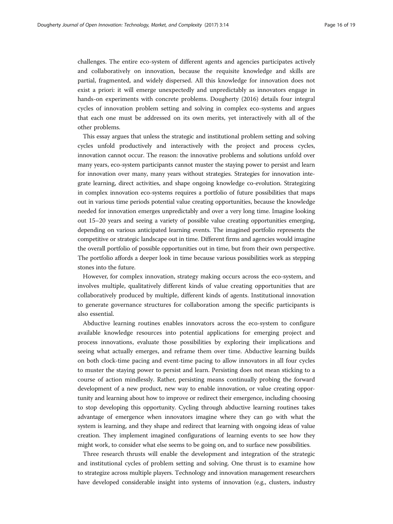challenges. The entire eco-system of different agents and agencies participates actively and collaboratively on innovation, because the requisite knowledge and skills are partial, fragmented, and widely dispersed. All this knowledge for innovation does not exist a priori: it will emerge unexpectedly and unpredictably as innovators engage in hands-on experiments with concrete problems. Dougherty [\(2016\)](#page-17-0) details four integral cycles of innovation problem setting and solving in complex eco-systems and argues that each one must be addressed on its own merits, yet interactively with all of the other problems.

This essay argues that unless the strategic and institutional problem setting and solving cycles unfold productively and interactively with the project and process cycles, innovation cannot occur. The reason: the innovative problems and solutions unfold over many years, eco-system participants cannot muster the staying power to persist and learn for innovation over many, many years without strategies. Strategies for innovation integrate learning, direct activities, and shape ongoing knowledge co-evolution. Strategizing in complex innovation eco-systems requires a portfolio of future possibilities that maps out in various time periods potential value creating opportunities, because the knowledge needed for innovation emerges unpredictably and over a very long time. Imagine looking out 15–20 years and seeing a variety of possible value creating opportunities emerging, depending on various anticipated learning events. The imagined portfolio represents the competitive or strategic landscape out in time. Different firms and agencies would imagine the overall portfolio of possible opportunities out in time, but from their own perspective. The portfolio affords a deeper look in time because various possibilities work as stepping stones into the future.

However, for complex innovation, strategy making occurs across the eco-system, and involves multiple, qualitatively different kinds of value creating opportunities that are collaboratively produced by multiple, different kinds of agents. Institutional innovation to generate governance structures for collaboration among the specific participants is also essential.

Abductive learning routines enables innovators across the eco-system to configure available knowledge resources into potential applications for emerging project and process innovations, evaluate those possibilities by exploring their implications and seeing what actually emerges, and reframe them over time. Abductive learning builds on both clock-time pacing and event-time pacing to allow innovators in all four cycles to muster the staying power to persist and learn. Persisting does not mean sticking to a course of action mindlessly. Rather, persisting means continually probing the forward development of a new product, new way to enable innovation, or value creating opportunity and learning about how to improve or redirect their emergence, including choosing to stop developing this opportunity. Cycling through abductive learning routines takes advantage of emergence when innovators imagine where they can go with what the system is learning, and they shape and redirect that learning with ongoing ideas of value creation. They implement imagined configurations of learning events to see how they might work, to consider what else seems to be going on, and to surface new possibilities.

Three research thrusts will enable the development and integration of the strategic and institutional cycles of problem setting and solving. One thrust is to examine how to strategize across multiple players. Technology and innovation management researchers have developed considerable insight into systems of innovation (e.g., clusters, industry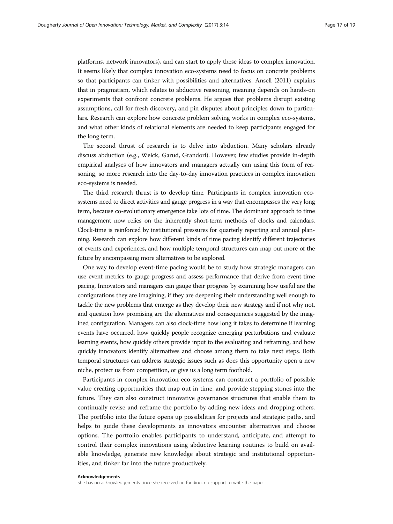platforms, network innovators), and can start to apply these ideas to complex innovation. It seems likely that complex innovation eco-systems need to focus on concrete problems so that participants can tinker with possibilities and alternatives. Ansell ([2011](#page-17-0)) explains that in pragmatism, which relates to abductive reasoning, meaning depends on hands-on experiments that confront concrete problems. He argues that problems disrupt existing assumptions, call for fresh discovery, and pin disputes about principles down to particulars. Research can explore how concrete problem solving works in complex eco-systems, and what other kinds of relational elements are needed to keep participants engaged for the long term.

The second thrust of research is to delve into abduction. Many scholars already discuss abduction (e.g., Weick, Garud, Grandori). However, few studies provide in-depth empirical analyses of how innovators and managers actually can using this form of reasoning, so more research into the day-to-day innovation practices in complex innovation eco-systems is needed.

The third research thrust is to develop time. Participants in complex innovation ecosystems need to direct activities and gauge progress in a way that encompasses the very long term, because co-evolutionary emergence take lots of time. The dominant approach to time management now relies on the inherently short-term methods of clocks and calendars. Clock-time is reinforced by institutional pressures for quarterly reporting and annual planning. Research can explore how different kinds of time pacing identify different trajectories of events and experiences, and how multiple temporal structures can map out more of the future by encompassing more alternatives to be explored.

One way to develop event-time pacing would be to study how strategic managers can use event metrics to gauge progress and assess performance that derive from event-time pacing. Innovators and managers can gauge their progress by examining how useful are the configurations they are imagining, if they are deepening their understanding well enough to tackle the new problems that emerge as they develop their new strategy and if not why not, and question how promising are the alternatives and consequences suggested by the imagined configuration. Managers can also clock-time how long it takes to determine if learning events have occurred, how quickly people recognize emerging perturbations and evaluate learning events, how quickly others provide input to the evaluating and reframing, and how quickly innovators identify alternatives and choose among them to take next steps. Both temporal structures can address strategic issues such as does this opportunity open a new niche, protect us from competition, or give us a long term foothold.

Participants in complex innovation eco-systems can construct a portfolio of possible value creating opportunities that map out in time, and provide stepping stones into the future. They can also construct innovative governance structures that enable them to continually revise and reframe the portfolio by adding new ideas and dropping others. The portfolio into the future opens up possibilities for projects and strategic paths, and helps to guide these developments as innovators encounter alternatives and choose options. The portfolio enables participants to understand, anticipate, and attempt to control their complex innovations using abductive learning routines to build on available knowledge, generate new knowledge about strategic and institutional opportunities, and tinker far into the future productively.

#### Acknowledgements

She has no acknowledgements since she received no funding, no support to write the paper.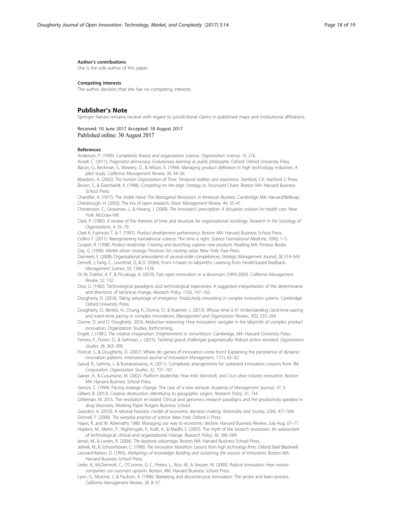#### <span id="page-17-0"></span>Author's contributions

She is the sole author of this paper.

#### Competing interests

The author declares that she has no competing interests.

#### Publisher's Note

Springer Nature remains neutral with regard to jurisdictional claims in published maps and institutional affiliations.

Received: 10 June 2017 Accepted: 18 August 2017 Published online: 30 August 2017

#### References

Anderson, P. (1999). Complexity theory and organization science. Organization Science, 10, 216.

Ansell, C. (2011). Pragmatist democracy: Evolutionary learning as public philosophy. Oxford: Oxford University Press. Bacon, G., Beckman, S., Mowery, D., & Wilson, E. (1994). Managing product definition in high technology industries: A pilot study. California Management Review, 36, 34–56.

Bluedorn, A. (2002). The human Organization of Time: Temporal realities and experience. Stanford, CA: Stanford U Press. Brown, S., & Eisenhardt, K. (1998). Competing on the edge: Strategy as Structured Chaos. Boston MA: Harvard Business School Press.

Chandler, A. (1977). The Visible Hand: The Managerial Revolution in American Business. Cambridge MA: Harvard/Belknap. Chesbrough, H. (2003). The era of open research. Sloan Management Review, 44, 35–41.

Christensen, C., Grossman, J., & Hwang, J. (2009). The Innovator's prescription: A disruptive solution for health care. New York: McGraw-Hill.

Clark, P. (1985). A review of the theories of time and structure for organizational sociology. Research in the Sociology of Organizations, 4, 35–79.

Clark K, Fujimoto T, & T. (1991). Product development performance. Boston MA: Harvard Business School Press. Collins F. (2011). Reengineering translational science: The time is right. Science Translational Medicine, 3(90), 1–5. Cooper, R. (1998). Product leadership: Creating and launching superior new products. Reading MA: Perseus Books. Day, G. (1990). Market driven strategy: Processes for creating value. New York: Free Press.

Danneels, E. (2008). Organizational antecedents of second-order competences. Strategic Management Journal, 28, 519–543. Denrell, J, Fang, C., Levinthal, D, & D. (2004). From t-mazes to labyrinths: Learning from model-based feedback. Management Science, 50, 1366–1378.

Di, M, Frattini, A. F, & Piccaluga, A. (2010). Fiat; open innovation in a downturn (1993-2003). California Management Review, 52, 132.

- Dosi, G. (1982). Technological paradigms and technological trajectories: A suggested interpretation of the determinants and directions of technical change. Research Policy, 11(3), 147–162.
- Dougherty, D. (2016). Taking advantage of emergence: Productively innovating in complex innovation systems. Cambridge: Oxford University Press.

Dougherty, D., Bertels, H., Chung, K., Dunne, D., & Kraemer, J. (2013). Whose time is it? Understanding clock-time pacing and event-time pacing in complex innovations. Management and Organization Review., 9(3), 233–264.

Dunne, D. and D. Dougherty. 2016. Abductive reasoning: How innovators navigate in the labyrinth of complex product innovation, Organization Studies, forthcoming.

Engell, J. (1981). The creative imagination: Enlightenment to romanticism. Cambridge, MA: Harvard University Press.

Ferrero, F., Etzion, D., & Gehman, J. (2015). Tackling grand challenges pragmatically: Robust action revisited. Organization Studies, 36, 363–390.

Floricel, S., & Dougherty, D. (2007). Where do games of innovation come from? Explaining the persistence of dynamic innovation patterns. International Journal of Innovation Management, 11(1), 65–92.

Garud, R., Gehma, J., & Kumaraswamy, A. (2011). Complexity arrangements for sustained innovation: Lessons from 3M Corporation. Organization Studies, 32, 737–767.

Gawer, A., & Cusumano, M. (2002). Platform leadership: How Intel, Microsoft, and Cisco drive industry innovation. Boston MA: Harvard Business School Press.

Gersick, C. (1994). Pacing strategic change: The case of a new venture. Academy of Management Journal., 37, 9.

Gilbert, B. (2012). Creative destruction: Identifying its geographic origins. Research Policy, 41, 734.

Gittleman, M. 2015. The revolution re-visited: Clinical and genomics research paradigns and the productivity paradox in drug discovery. Working Paper Rutgers Business School.

Grandori, A. (2010). A rational heuristic model of economic decision making. Rationality and Society, 22(4), 477–504. Grinnell, F. (2009). The everyday practice of science. New York: Oxford U Press.

Hayes, R. and W. Abernathy 1980. Managing our way to economic decline. Harvard Business Review, July-Aug. 67–77. Hopkins, M., Martin, P., Nightingale, P., Kraft, A., & Madhi, S. (2007). The myth of the biotech revolution: An assessment of technological, clinical and organisational change. Research Policy, 36, 566–589.

lansiti, M., & Levien, R. (2004). The keystone advantage. Boston MA: Harvard Business School Press.

Jelinek, M., & Schoonhoven, C. (1990). The innovation Marathon: Lessons from high technology firms. Oxford: Basil Blackwell. Leonard-Barton, D. (1995). Wellsprings of knowledge: Building and sustaining the sources of innovation. Boston MA: Harvard Business School Press.

Liefer, R., McDermott, C., O'Connor, G. C., Peters, L., Rice, M., & Veryzer, W. (2000). Radical innovation: How mature companies can outsmart upstarts. Boston, MA: Harvard Business School Press.

Lynn, G., Morone, J., & Paulson, A. (1996). Marketing and discontinuous innovation: The probe and learn process. California Management Review, 38, 8–37.